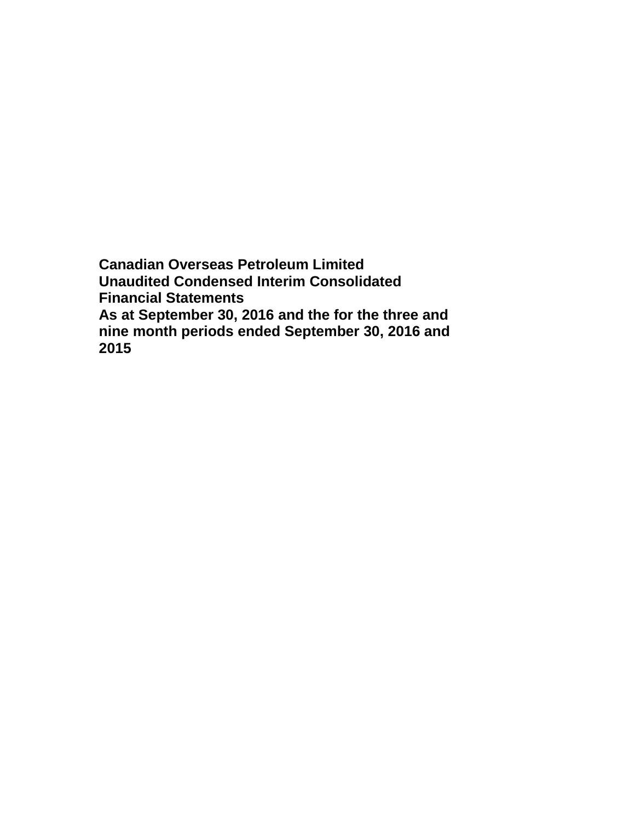**Canadian Overseas Petroleum Limited Unaudited Condensed Interim Consolidated Financial Statements As at September 30, 2016 and the for the three and nine month periods ended September 30, 2016 and 2015**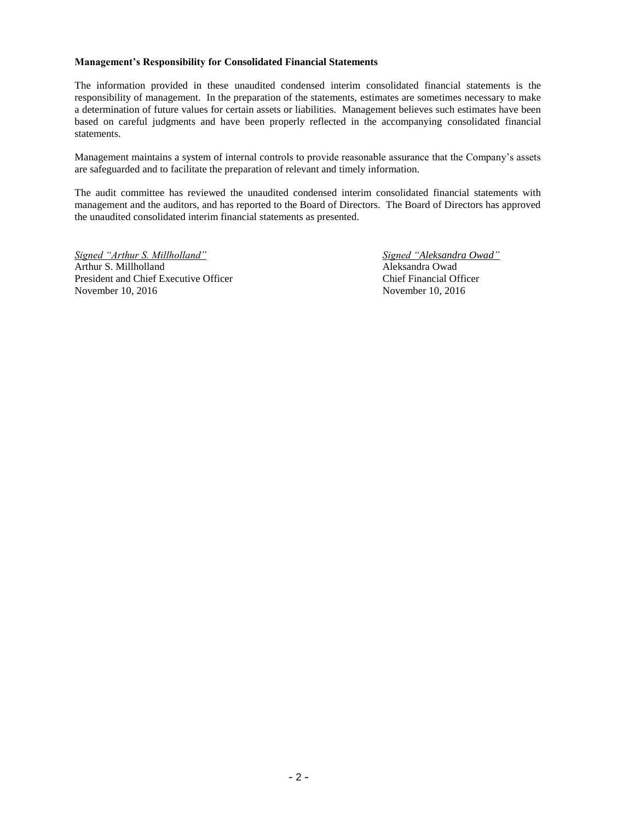### **Management's Responsibility for Consolidated Financial Statements**

The information provided in these unaudited condensed interim consolidated financial statements is the responsibility of management. In the preparation of the statements, estimates are sometimes necessary to make a determination of future values for certain assets or liabilities. Management believes such estimates have been based on careful judgments and have been properly reflected in the accompanying consolidated financial statements.

Management maintains a system of internal controls to provide reasonable assurance that the Company's assets are safeguarded and to facilitate the preparation of relevant and timely information.

The audit committee has reviewed the unaudited condensed interim consolidated financial statements with management and the auditors, and has reported to the Board of Directors. The Board of Directors has approved the unaudited consolidated interim financial statements as presented.

*Signed "Arthur S. Millholland" Signed "Aleksandra Owad"* Arthur S. Millholland Aleksandra Owad President and Chief Executive Officer Chief Financial Officer November 10, 2016 November 10, 2016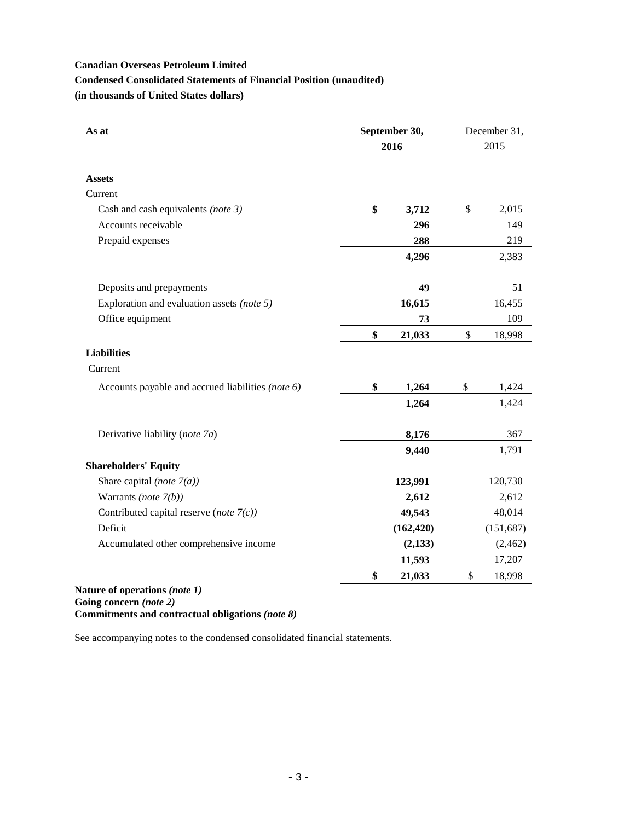# **Canadian Overseas Petroleum Limited Condensed Consolidated Statements of Financial Position (unaudited)**

**(in thousands of United States dollars)**

| As at                                             | September 30,<br>2016 | December 31,<br>2015 |
|---------------------------------------------------|-----------------------|----------------------|
|                                                   |                       |                      |
| <b>Assets</b>                                     |                       |                      |
| Current                                           |                       |                      |
| Cash and cash equivalents (note 3)                | \$<br>3,712           | \$<br>2,015          |
| Accounts receivable                               | 296                   | 149                  |
| Prepaid expenses                                  | 288                   | 219                  |
|                                                   | 4,296                 | 2,383                |
| Deposits and prepayments                          | 49                    | 51                   |
| Exploration and evaluation assets (note 5)        | 16,615                | 16,455               |
| Office equipment                                  | 73                    | 109                  |
|                                                   | \$<br>21,033          | \$<br>18,998         |
| <b>Liabilities</b>                                |                       |                      |
| Current                                           |                       |                      |
| Accounts payable and accrued liabilities (note 6) | \$<br>1,264           | \$<br>1,424          |
|                                                   | 1,264                 | 1,424                |
| Derivative liability (note 7a)                    | 8,176                 | 367                  |
|                                                   | 9,440                 | 1,791                |
| <b>Shareholders' Equity</b>                       |                       |                      |
| Share capital (note $7(a)$ )                      | 123,991               | 120,730              |
| Warrants (note $7(b)$ )                           | 2,612                 | 2,612                |
| Contributed capital reserve (note $7(c)$ )        | 49,543                | 48,014               |
| Deficit                                           | (162, 420)            | (151, 687)           |
| Accumulated other comprehensive income            | (2,133)               | (2, 462)             |
|                                                   | 11,593                | 17,207               |
|                                                   | \$<br>21,033          | \$<br>18,998         |
| $\sigma$ <sub>11120</sub> of anonations (note 1)  |                       |                      |

**Nature of operations** *(note 1)* **Going concern** *(note 2)*

**Commitments and contractual obligations** *(note 8)*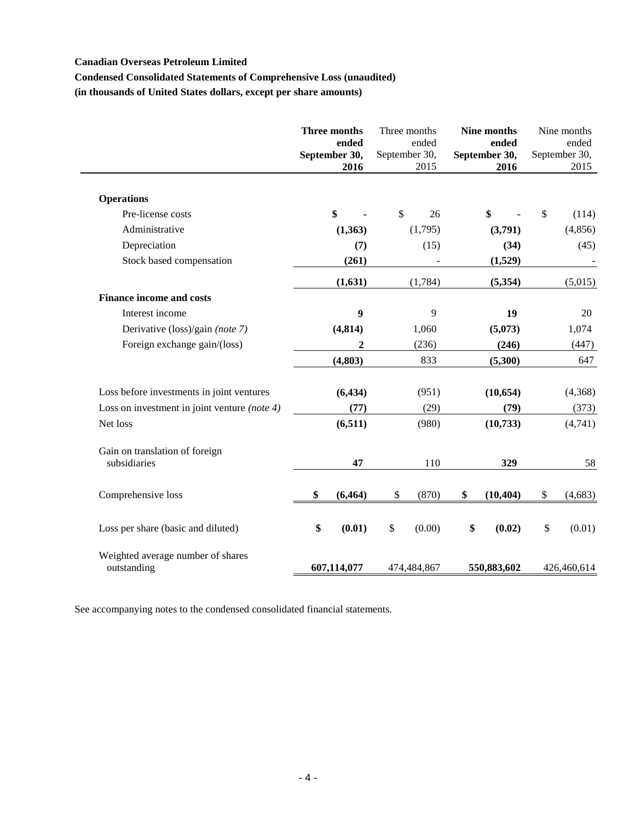# **Condensed Consolidated Statements of Comprehensive Loss (unaudited)**

**(in thousands of United States dollars, except per share amounts)**

|                                                  | Three months<br>ended<br>September 30,<br>2016 | September 30, | Three months<br>ended<br>2015 | Nine months<br>ended<br>September 30,<br>2016 | Nine months<br>ended<br>September 30,<br>2015 |
|--------------------------------------------------|------------------------------------------------|---------------|-------------------------------|-----------------------------------------------|-----------------------------------------------|
| <b>Operations</b>                                |                                                |               |                               |                                               |                                               |
| Pre-license costs                                | \$                                             | \$            | 26                            | \$                                            | \$<br>(114)                                   |
| Administrative                                   | (1, 363)                                       |               | (1,795)                       | (3,791)                                       | (4, 856)                                      |
| Depreciation                                     | (7)                                            |               | (15)                          | (34)                                          | (45)                                          |
| Stock based compensation                         | (261)                                          |               |                               | (1,529)                                       |                                               |
|                                                  | (1,631)                                        |               | (1,784)                       | (5, 354)                                      | (5,015)                                       |
| <b>Finance income and costs</b>                  |                                                |               |                               |                                               |                                               |
| Interest income                                  | 9                                              |               | 9                             | 19                                            | 20                                            |
| Derivative (loss)/gain (note 7)                  | (4, 814)                                       |               | 1,060                         | (5,073)                                       | 1,074                                         |
| Foreign exchange gain/(loss)                     | $\mathbf{2}$                                   |               | (236)                         | (246)                                         | (447)                                         |
|                                                  | (4, 803)                                       |               | 833                           | (5,300)                                       | 647                                           |
| Loss before investments in joint ventures        | (6, 434)                                       |               | (951)                         | (10, 654)                                     | (4,368)                                       |
| Loss on investment in joint venture (note 4)     | (77)                                           |               | (29)                          | (79)                                          | (373)                                         |
| Net loss                                         | (6,511)                                        |               | (980)                         | (10, 733)                                     | (4,741)                                       |
| Gain on translation of foreign<br>subsidiaries   | 47                                             |               | 110                           | 329                                           | 58                                            |
| Comprehensive loss                               | \$<br>(6, 464)                                 | \$            | (870)                         | \$<br>(10, 404)                               | \$<br>(4, 683)                                |
| Loss per share (basic and diluted)               | \$<br>(0.01)                                   | \$            | (0.00)                        | \$<br>(0.02)                                  | \$<br>(0.01)                                  |
| Weighted average number of shares<br>outstanding | 607,114,077                                    |               | 474,484,867                   | 550,883,602                                   | 426,460,614                                   |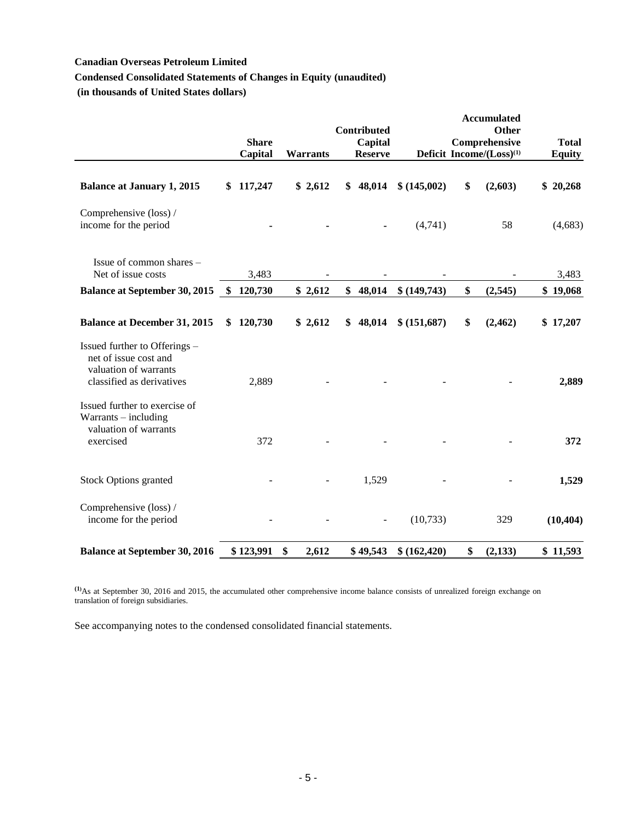# **Condensed Consolidated Statements of Changes in Equity (unaudited)**

**(in thousands of United States dollars)**

|                                                                                                              |               | <b>Share</b><br>Capital | <b>Warrants</b> | <b>Contributed</b><br>Capital<br><b>Reserve</b> |               | <b>Accumulated</b><br>Other<br>Comprehensive<br>Deficit Income/(Loss) <sup>(1)</sup> | <b>Total</b><br><b>Equity</b> |
|--------------------------------------------------------------------------------------------------------------|---------------|-------------------------|-----------------|-------------------------------------------------|---------------|--------------------------------------------------------------------------------------|-------------------------------|
| <b>Balance at January 1, 2015</b>                                                                            | \$            | 117,247                 | \$2,612         | \$<br>48,014                                    | \$(145,002)   | \$<br>(2,603)                                                                        | \$20,268                      |
| Comprehensive (loss) /<br>income for the period                                                              |               |                         |                 | $\blacksquare$                                  | (4,741)       | 58                                                                                   | (4,683)                       |
| Issue of common shares -<br>Net of issue costs                                                               |               | 3,483                   |                 |                                                 |               |                                                                                      | 3,483                         |
| <b>Balance at September 30, 2015</b>                                                                         | <sup>\$</sup> | 120,730                 | \$2,612         | \$<br>48,014                                    | \$ (149,743)  | \$<br>(2,545)                                                                        | \$19,068                      |
| <b>Balance at December 31, 2015</b>                                                                          | \$            | 120,730                 | \$2,612         | \$<br>48,014                                    | \$ (151,687)  | \$<br>(2, 462)                                                                       | \$17,207                      |
| Issued further to Offerings -<br>net of issue cost and<br>valuation of warrants<br>classified as derivatives |               | 2,889                   |                 |                                                 |               |                                                                                      | 2,889                         |
| Issued further to exercise of<br>Warrants - including<br>valuation of warrants<br>exercised                  |               | 372                     |                 |                                                 |               |                                                                                      | 372                           |
| <b>Stock Options granted</b>                                                                                 |               |                         |                 | 1,529                                           |               |                                                                                      | 1,529                         |
| Comprehensive (loss) /<br>income for the period                                                              |               |                         |                 | $\overline{a}$                                  | (10, 733)     | 329                                                                                  | (10, 404)                     |
| <b>Balance at September 30, 2016</b>                                                                         |               | \$123,991               | \$<br>2,612     | \$49,543                                        | \$ (162, 420) | \$<br>(2, 133)                                                                       | \$11,593                      |

**(1)**As at September 30, 2016 and 2015, the accumulated other comprehensive income balance consists of unrealized foreign exchange on translation of foreign subsidiaries.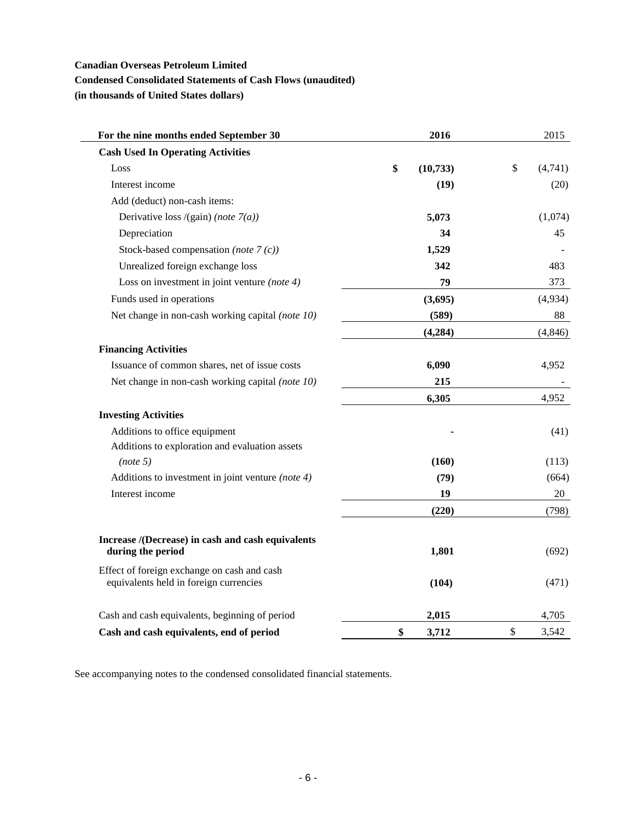# **Condensed Consolidated Statements of Cash Flows (unaudited)**

**(in thousands of United States dollars)**

 $\overline{\phantom{0}}$ 

| For the nine months ended September 30                                                | 2016            | 2015                    |
|---------------------------------------------------------------------------------------|-----------------|-------------------------|
| <b>Cash Used In Operating Activities</b>                                              |                 |                         |
| Loss                                                                                  | \$<br>(10, 733) | $\mathbb{S}$<br>(4,741) |
| Interest income                                                                       | (19)            | (20)                    |
| Add (deduct) non-cash items:                                                          |                 |                         |
| Derivative loss /(gain) (note $7(a)$ )                                                | 5,073           | (1,074)                 |
| Depreciation                                                                          | 34              | 45                      |
| Stock-based compensation (note $7(c)$ )                                               | 1,529           |                         |
| Unrealized foreign exchange loss                                                      | 342             | 483                     |
| Loss on investment in joint venture (note $4$ )                                       | 79              | 373                     |
| Funds used in operations                                                              | (3,695)         | (4,934)                 |
| Net change in non-cash working capital (note 10)                                      | (589)           | 88                      |
|                                                                                       | (4, 284)        | (4, 846)                |
| <b>Financing Activities</b>                                                           |                 |                         |
| Issuance of common shares, net of issue costs                                         | 6,090           | 4,952                   |
| Net change in non-cash working capital (note 10)                                      | 215             |                         |
|                                                                                       | 6,305           | 4,952                   |
| <b>Investing Activities</b>                                                           |                 |                         |
| Additions to office equipment                                                         |                 | (41)                    |
| Additions to exploration and evaluation assets                                        |                 |                         |
| (note 5)                                                                              | (160)           | (113)                   |
| Additions to investment in joint venture (note $4$ )                                  | (79)            | (664)                   |
| Interest income                                                                       | 19              | 20                      |
|                                                                                       | (220)           | (798)                   |
|                                                                                       |                 |                         |
| Increase /(Decrease) in cash and cash equivalents<br>during the period                | 1,801           | (692)                   |
| Effect of foreign exchange on cash and cash<br>equivalents held in foreign currencies | (104)           | (471)                   |
| Cash and cash equivalents, beginning of period                                        | 2,015           | 4,705                   |
| Cash and cash equivalents, end of period                                              | \$<br>3,712     | \$<br>3,542             |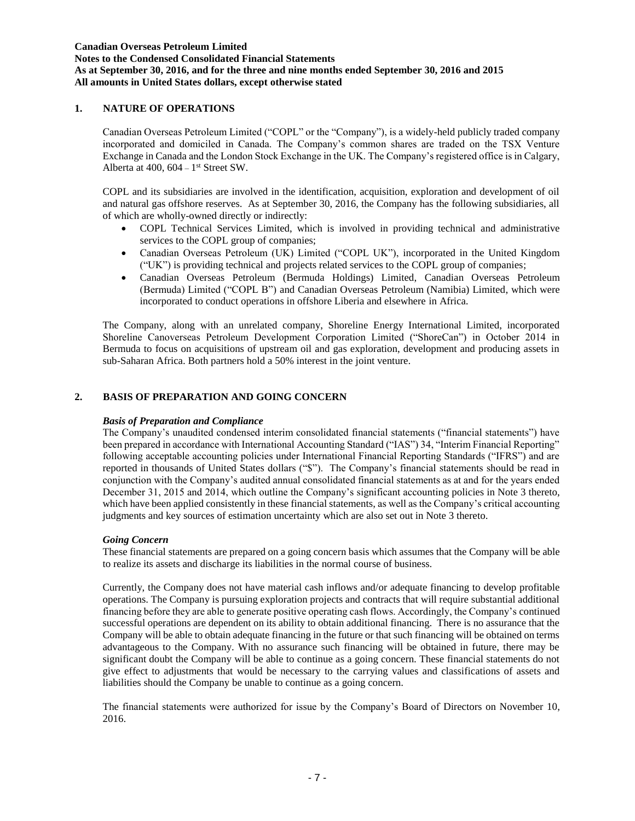**Notes to the Condensed Consolidated Financial Statements As at September 30, 2016, and for the three and nine months ended September 30, 2016 and 2015**

# **All amounts in United States dollars, except otherwise stated**

# **1. NATURE OF OPERATIONS**

Canadian Overseas Petroleum Limited ("COPL" or the "Company"), is a widely-held publicly traded company incorporated and domiciled in Canada. The Company's common shares are traded on the TSX Venture Exchange in Canada and the London Stock Exchange in the UK. The Company's registered office is in Calgary, Alberta at  $400$ ,  $604 - 1$ <sup>st</sup> Street SW.

COPL and its subsidiaries are involved in the identification, acquisition, exploration and development of oil and natural gas offshore reserves. As at September 30, 2016, the Company has the following subsidiaries, all of which are wholly-owned directly or indirectly:

- COPL Technical Services Limited, which is involved in providing technical and administrative services to the COPL group of companies;
- Canadian Overseas Petroleum (UK) Limited ("COPL UK"), incorporated in the United Kingdom ("UK") is providing technical and projects related services to the COPL group of companies;
- Canadian Overseas Petroleum (Bermuda Holdings) Limited, Canadian Overseas Petroleum (Bermuda) Limited ("COPL B") and Canadian Overseas Petroleum (Namibia) Limited, which were incorporated to conduct operations in offshore Liberia and elsewhere in Africa.

The Company, along with an unrelated company, Shoreline Energy International Limited, incorporated Shoreline Canoverseas Petroleum Development Corporation Limited ("ShoreCan") in October 2014 in Bermuda to focus on acquisitions of upstream oil and gas exploration, development and producing assets in sub-Saharan Africa. Both partners hold a 50% interest in the joint venture.

# **2. BASIS OF PREPARATION AND GOING CONCERN**

# *Basis of Preparation and Compliance*

The Company's unaudited condensed interim consolidated financial statements ("financial statements") have been prepared in accordance with International Accounting Standard ("IAS") 34, "Interim Financial Reporting" following acceptable accounting policies under International Financial Reporting Standards ("IFRS") and are reported in thousands of United States dollars ("\$"). The Company's financial statements should be read in conjunction with the Company's audited annual consolidated financial statements as at and for the years ended December 31, 2015 and 2014, which outline the Company's significant accounting policies in Note 3 thereto, which have been applied consistently in these financial statements, as well as the Company's critical accounting judgments and key sources of estimation uncertainty which are also set out in Note 3 thereto.

# *Going Concern*

These financial statements are prepared on a going concern basis which assumes that the Company will be able to realize its assets and discharge its liabilities in the normal course of business.

Currently, the Company does not have material cash inflows and/or adequate financing to develop profitable operations. The Company is pursuing exploration projects and contracts that will require substantial additional financing before they are able to generate positive operating cash flows. Accordingly, the Company's continued successful operations are dependent on its ability to obtain additional financing. There is no assurance that the Company will be able to obtain adequate financing in the future or that such financing will be obtained on terms advantageous to the Company. With no assurance such financing will be obtained in future, there may be significant doubt the Company will be able to continue as a going concern. These financial statements do not give effect to adjustments that would be necessary to the carrying values and classifications of assets and liabilities should the Company be unable to continue as a going concern.

The financial statements were authorized for issue by the Company's Board of Directors on November 10, 2016.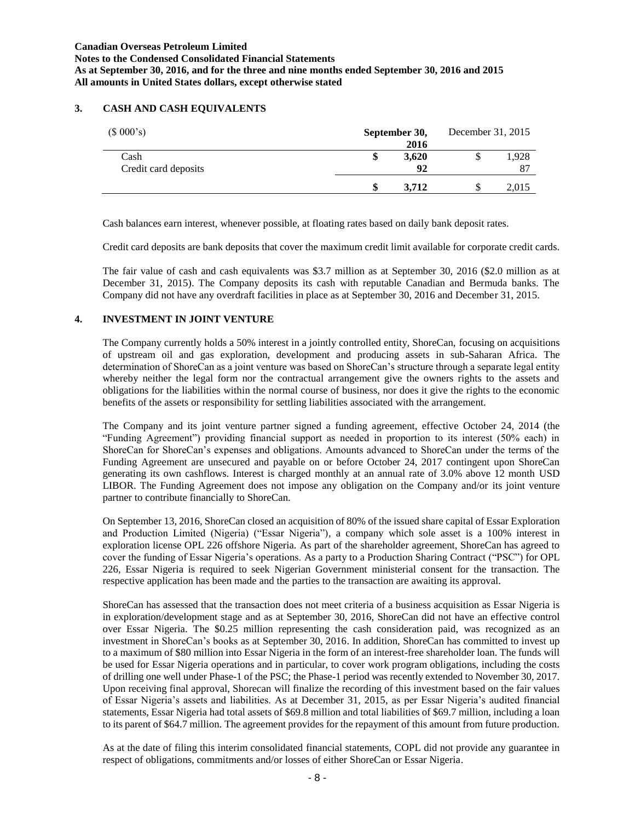# **3. CASH AND CASH EQUIVALENTS**

| (\$000's)                    | September 30, | 2016 | December 31, 2015 |             |
|------------------------------|---------------|------|-------------------|-------------|
| Cash<br>Credit card deposits | 3,620         | 92   |                   | 1,928<br>87 |
|                              | 3.712         |      |                   | 2,015       |

Cash balances earn interest, whenever possible, at floating rates based on daily bank deposit rates.

Credit card deposits are bank deposits that cover the maximum credit limit available for corporate credit cards.

The fair value of cash and cash equivalents was \$3.7 million as at September 30, 2016 (\$2.0 million as at December 31, 2015). The Company deposits its cash with reputable Canadian and Bermuda banks. The Company did not have any overdraft facilities in place as at September 30, 2016 and December 31, 2015.

# **4. INVESTMENT IN JOINT VENTURE**

The Company currently holds a 50% interest in a jointly controlled entity, ShoreCan, focusing on acquisitions of upstream oil and gas exploration, development and producing assets in sub-Saharan Africa. The determination of ShoreCan as a joint venture was based on ShoreCan's structure through a separate legal entity whereby neither the legal form nor the contractual arrangement give the owners rights to the assets and obligations for the liabilities within the normal course of business, nor does it give the rights to the economic benefits of the assets or responsibility for settling liabilities associated with the arrangement.

The Company and its joint venture partner signed a funding agreement, effective October 24, 2014 (the "Funding Agreement") providing financial support as needed in proportion to its interest (50% each) in ShoreCan for ShoreCan's expenses and obligations. Amounts advanced to ShoreCan under the terms of the Funding Agreement are unsecured and payable on or before October 24, 2017 contingent upon ShoreCan generating its own cashflows. Interest is charged monthly at an annual rate of 3.0% above 12 month USD LIBOR. The Funding Agreement does not impose any obligation on the Company and/or its joint venture partner to contribute financially to ShoreCan.

On September 13, 2016, ShoreCan closed an acquisition of 80% of the issued share capital of Essar Exploration and Production Limited (Nigeria) ("Essar Nigeria"), a company which sole asset is a 100% interest in exploration license OPL 226 offshore Nigeria. As part of the shareholder agreement, ShoreCan has agreed to cover the funding of Essar Nigeria's operations. As a party to a Production Sharing Contract ("PSC") for OPL 226, Essar Nigeria is required to seek Nigerian Government ministerial consent for the transaction. The respective application has been made and the parties to the transaction are awaiting its approval.

ShoreCan has assessed that the transaction does not meet criteria of a business acquisition as Essar Nigeria is in exploration/development stage and as at September 30, 2016, ShoreCan did not have an effective control over Essar Nigeria. The \$0.25 million representing the cash consideration paid, was recognized as an investment in ShoreCan's books as at September 30, 2016. In addition, ShoreCan has committed to invest up to a maximum of \$80 million into Essar Nigeria in the form of an interest-free shareholder loan. The funds will be used for Essar Nigeria operations and in particular, to cover work program obligations, including the costs of drilling one well under Phase-1 of the PSC; the Phase-1 period was recently extended to November 30, 2017. Upon receiving final approval, Shorecan will finalize the recording of this investment based on the fair values of Essar Nigeria's assets and liabilities. As at December 31, 2015, as per Essar Nigeria's audited financial statements, Essar Nigeria had total assets of \$69.8 million and total liabilities of \$69.7 million, including a loan to its parent of \$64.7 million. The agreement provides for the repayment of this amount from future production.

As at the date of filing this interim consolidated financial statements, COPL did not provide any guarantee in respect of obligations, commitments and/or losses of either ShoreCan or Essar Nigeria.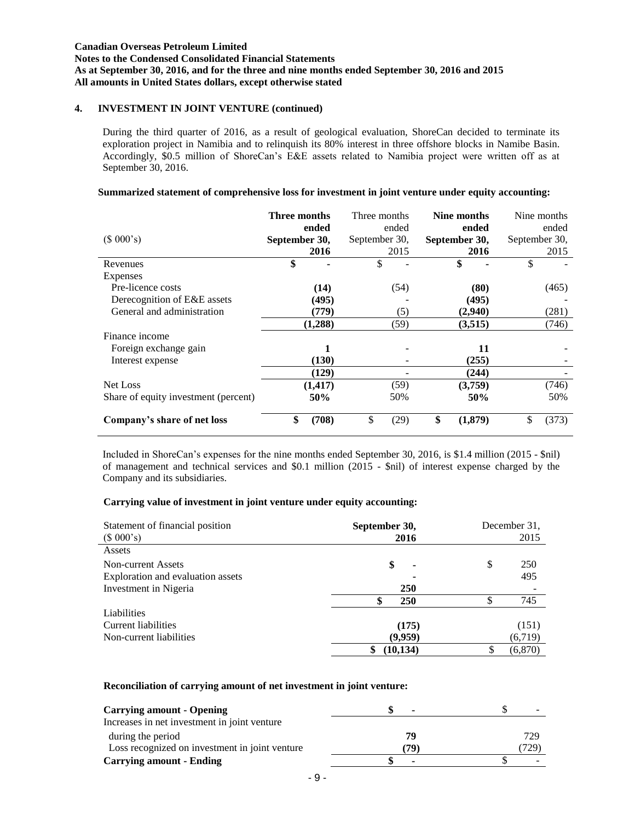**Notes to the Condensed Consolidated Financial Statements As at September 30, 2016, and for the three and nine months ended September 30, 2016 and 2015 All amounts in United States dollars, except otherwise stated**

# **4. INVESTMENT IN JOINT VENTURE (continued)**

During the third quarter of 2016, as a result of geological evaluation, ShoreCan decided to terminate its exploration project in Namibia and to relinquish its 80% interest in three offshore blocks in Namibe Basin. Accordingly, \$0.5 million of ShoreCan's E&E assets related to Namibia project were written off as at September 30, 2016.

#### **Summarized statement of comprehensive loss for investment in joint venture under equity accounting:**

|                                      | Three months  |          | Three months  |       | Nine months   |               | Nine months |
|--------------------------------------|---------------|----------|---------------|-------|---------------|---------------|-------------|
|                                      |               | ended    |               | ended | ended         |               | ended       |
| (\$000's)                            | September 30, |          | September 30, |       | September 30, | September 30, |             |
|                                      |               | 2016     |               | 2015  | 2016          |               | 2015        |
| Revenues                             | \$            |          | \$            |       | \$            | \$            |             |
| Expenses                             |               |          |               |       |               |               |             |
| Pre-licence costs                    |               | (14)     |               | (54)  | (80)          |               | (465)       |
| Derecognition of E&E assets          |               | (495)    |               |       | (495)         |               |             |
| General and administration           |               | (779)    |               | (5)   | (2,940)       |               | (281)       |
|                                      |               | (1,288)  |               | (59)  | (3,515)       |               | (746)       |
| Finance income                       |               |          |               |       |               |               |             |
| Foreign exchange gain                |               |          |               |       | 11            |               |             |
| Interest expense                     |               | (130)    |               |       | (255)         |               |             |
|                                      |               | (129)    |               |       | (244)         |               |             |
| Net Loss                             |               | (1, 417) |               | (59)  | (3,759)       |               | (746)       |
| Share of equity investment (percent) |               | 50%      |               | 50%   | 50%           |               | 50%         |
| Company's share of net loss          | \$            | (708)    | \$            | (29)  | \$<br>(1,879) | \$            | (373)       |

Included in ShoreCan's expenses for the nine months ended September 30, 2016, is \$1.4 million (2015 - \$nil) of management and technical services and \$0.1 million (2015 - \$nil) of interest expense charged by the Company and its subsidiaries.

# **Carrying value of investment in joint venture under equity accounting:**

| Statement of financial position<br>(\$000's) | September 30,<br>2016 | December 31.<br>2015 |
|----------------------------------------------|-----------------------|----------------------|
| Assets                                       |                       |                      |
| Non-current Assets                           | \$<br>۰               | \$<br>250            |
| Exploration and evaluation assets            | ٠                     | 495                  |
| Investment in Nigeria                        | 250                   |                      |
|                                              | 250<br>¢              | 745                  |
| <b>Liabilities</b>                           |                       |                      |
| Current liabilities                          | (175)                 | (151)                |
| Non-current liabilities                      | (9,959)               | (6,719)              |
|                                              | (10, 134)             | (6, 870)             |

#### **Reconciliation of carrying amount of net investment in joint venture:**

| <b>Carrying amount - Opening</b>               | $\overline{\phantom{0}}$ |      |
|------------------------------------------------|--------------------------|------|
| Increases in net investment in joint venture   |                          |      |
| during the period                              | 79                       | 729  |
| Loss recognized on investment in joint venture | 79)                      | 729) |
| <b>Carrying amount - Ending</b>                | $\blacksquare$           |      |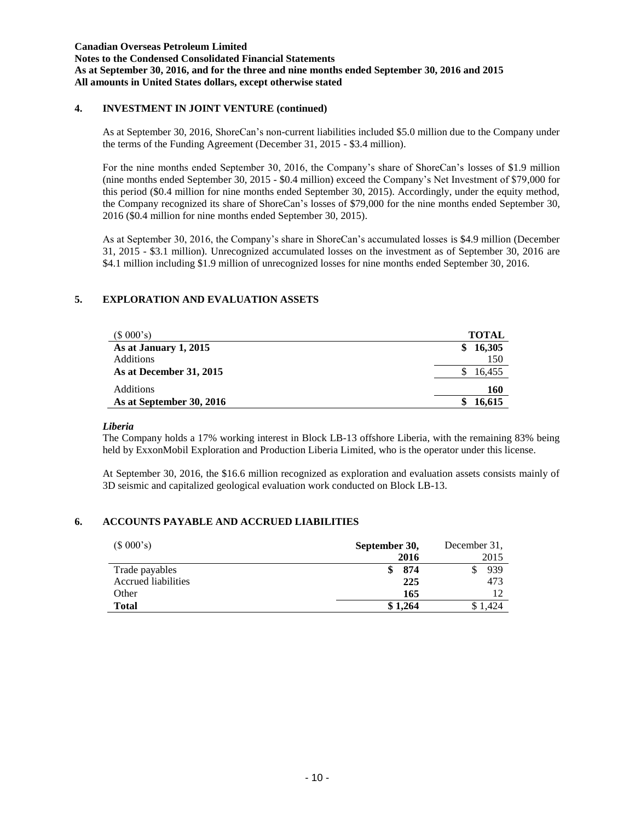**Notes to the Condensed Consolidated Financial Statements As at September 30, 2016, and for the three and nine months ended September 30, 2016 and 2015 All amounts in United States dollars, except otherwise stated**

# **4. INVESTMENT IN JOINT VENTURE (continued)**

As at September 30, 2016, ShoreCan's non-current liabilities included \$5.0 million due to the Company under the terms of the Funding Agreement (December 31, 2015 - \$3.4 million).

For the nine months ended September 30, 2016, the Company's share of ShoreCan's losses of \$1.9 million (nine months ended September 30, 2015 - \$0.4 million) exceed the Company's Net Investment of \$79,000 for this period (\$0.4 million for nine months ended September 30, 2015). Accordingly, under the equity method, the Company recognized its share of ShoreCan's losses of \$79,000 for the nine months ended September 30, 2016 (\$0.4 million for nine months ended September 30, 2015).

As at September 30, 2016, the Company's share in ShoreCan's accumulated losses is \$4.9 million (December 31, 2015 - \$3.1 million). Unrecognized accumulated losses on the investment as of September 30, 2016 are \$4.1 million including \$1.9 million of unrecognized losses for nine months ended September 30, 2016.

# **5. EXPLORATION AND EVALUATION ASSETS**

| (\$000's)                | <b>TOTAL</b> |
|--------------------------|--------------|
| As at January 1, 2015    | 16,305<br>S  |
| <b>Additions</b>         | 150          |
| As at December 31, 2015  | 16.455       |
| <b>Additions</b>         | 160          |
| As at September 30, 2016 | 16.615       |

# *Liberia*

The Company holds a 17% working interest in Block LB-13 offshore Liberia, with the remaining 83% being held by ExxonMobil Exploration and Production Liberia Limited, who is the operator under this license.

At September 30, 2016, the \$16.6 million recognized as exploration and evaluation assets consists mainly of 3D seismic and capitalized geological evaluation work conducted on Block LB-13.

# **6. ACCOUNTS PAYABLE AND ACCRUED LIABILITIES**

| (\$000's)           | September 30, | December 31, |  |
|---------------------|---------------|--------------|--|
|                     | 2016          | 2015         |  |
| Trade payables      | 874           | 939          |  |
| Accrued liabilities | 225           | 473          |  |
| Other               | 165           | 12           |  |
| <b>Total</b>        | \$1,264       |              |  |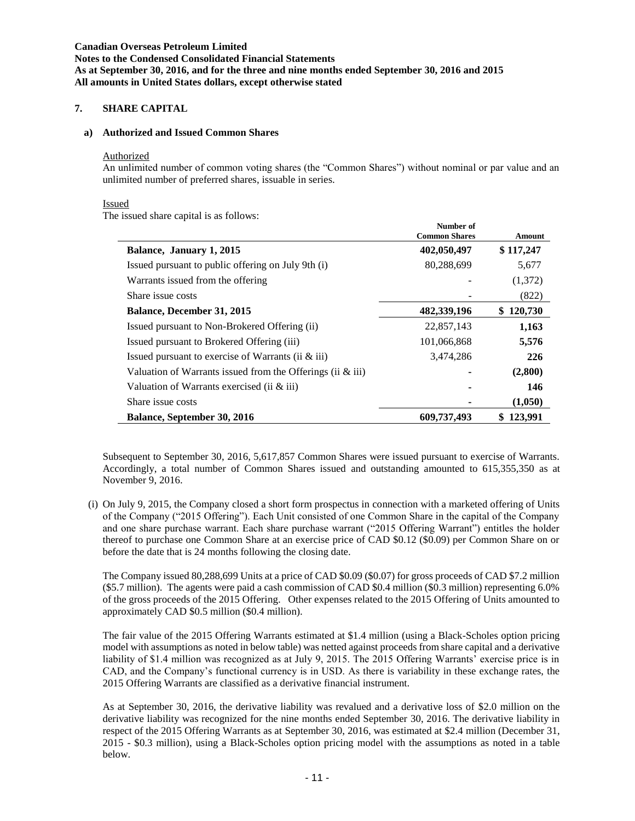## **Canadian Overseas Petroleum Limited Notes to the Condensed Consolidated Financial Statements As at September 30, 2016, and for the three and nine months ended September 30, 2016 and 2015 All amounts in United States dollars, except otherwise stated**

# **7. SHARE CAPITAL**

#### **a) Authorized and Issued Common Shares**

#### Authorized

An unlimited number of common voting shares (the "Common Shares") without nominal or par value and an unlimited number of preferred shares, issuable in series.

#### Issued

The issued share capital is as follows:

|                                                               | Number of<br><b>Common Shares</b> | Amount    |
|---------------------------------------------------------------|-----------------------------------|-----------|
| Balance, January 1, 2015                                      | 402,050,497                       | \$117,247 |
| Issued pursuant to public offering on July 9th (i)            | 80,288,699                        | 5,677     |
| Warrants issued from the offering                             |                                   | (1,372)   |
| Share issue costs                                             |                                   | (822)     |
| Balance, December 31, 2015                                    | 482,339,196                       | \$120,730 |
| Issued pursuant to Non-Brokered Offering (ii)                 | 22,857,143                        | 1,163     |
| Issued pursuant to Brokered Offering (iii)                    | 101,066,868                       | 5,576     |
| Issued pursuant to exercise of Warrants (ii $\&$ iii)         | 3,474,286                         | 226       |
| Valuation of Warrants issued from the Offerings (ii $\&$ iii) |                                   | (2,800)   |
| Valuation of Warrants exercised (ii $\&$ iii)                 |                                   | 146       |
| Share issue costs                                             |                                   | (1,050)   |
| Balance, September 30, 2016                                   | 609,737,493                       | \$123,991 |

Subsequent to September 30, 2016, 5,617,857 Common Shares were issued pursuant to exercise of Warrants. Accordingly, a total number of Common Shares issued and outstanding amounted to 615,355,350 as at November 9, 2016.

(i) On July 9, 2015, the Company closed a short form prospectus in connection with a marketed offering of Units of the Company ("2015 Offering"). Each Unit consisted of one Common Share in the capital of the Company and one share purchase warrant. Each share purchase warrant ("2015 Offering Warrant") entitles the holder thereof to purchase one Common Share at an exercise price of CAD \$0.12 (\$0.09) per Common Share on or before the date that is 24 months following the closing date.

The Company issued 80,288,699 Units at a price of CAD \$0.09 (\$0.07) for gross proceeds of CAD \$7.2 million (\$5.7 million). The agents were paid a cash commission of CAD \$0.4 million (\$0.3 million) representing 6.0% of the gross proceeds of the 2015 Offering. Other expenses related to the 2015 Offering of Units amounted to approximately CAD \$0.5 million (\$0.4 million).

The fair value of the 2015 Offering Warrants estimated at \$1.4 million (using a Black-Scholes option pricing model with assumptions as noted in below table) was netted against proceeds from share capital and a derivative liability of \$1.4 million was recognized as at July 9, 2015. The 2015 Offering Warrants' exercise price is in CAD, and the Company's functional currency is in USD. As there is variability in these exchange rates, the 2015 Offering Warrants are classified as a derivative financial instrument.

As at September 30, 2016, the derivative liability was revalued and a derivative loss of \$2.0 million on the derivative liability was recognized for the nine months ended September 30, 2016. The derivative liability in respect of the 2015 Offering Warrants as at September 30, 2016, was estimated at \$2.4 million (December 31, 2015 - \$0.3 million), using a Black-Scholes option pricing model with the assumptions as noted in a table below.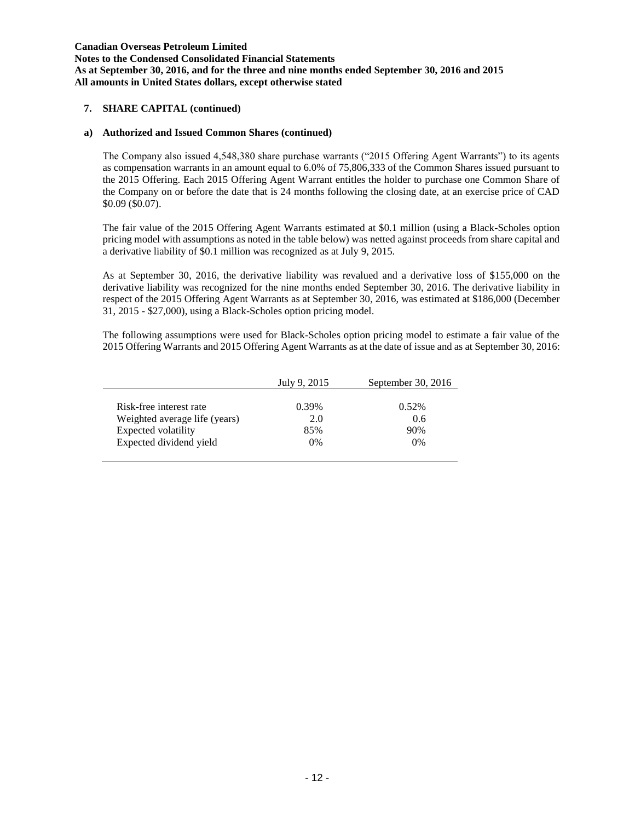**Notes to the Condensed Consolidated Financial Statements As at September 30, 2016, and for the three and nine months ended September 30, 2016 and 2015 All amounts in United States dollars, except otherwise stated**

### **7. SHARE CAPITAL (continued)**

### **a) Authorized and Issued Common Shares (continued)**

The Company also issued 4,548,380 share purchase warrants ("2015 Offering Agent Warrants") to its agents as compensation warrants in an amount equal to 6.0% of 75,806,333 of the Common Shares issued pursuant to the 2015 Offering. Each 2015 Offering Agent Warrant entitles the holder to purchase one Common Share of the Company on or before the date that is 24 months following the closing date, at an exercise price of CAD \$0.09 (\$0.07).

The fair value of the 2015 Offering Agent Warrants estimated at \$0.1 million (using a Black-Scholes option pricing model with assumptions as noted in the table below) was netted against proceeds from share capital and a derivative liability of \$0.1 million was recognized as at July 9, 2015.

As at September 30, 2016, the derivative liability was revalued and a derivative loss of \$155,000 on the derivative liability was recognized for the nine months ended September 30, 2016. The derivative liability in respect of the 2015 Offering Agent Warrants as at September 30, 2016, was estimated at \$186,000 (December 31, 2015 - \$27,000), using a Black-Scholes option pricing model.

The following assumptions were used for Black-Scholes option pricing model to estimate a fair value of the 2015 Offering Warrants and 2015 Offering Agent Warrants as at the date of issue and as at September 30, 2016:

|                               | July 9, 2015 | September 30, 2016 |
|-------------------------------|--------------|--------------------|
|                               |              |                    |
| Risk-free interest rate       | 0.39%        | $0.52\%$           |
| Weighted average life (years) | 2.0          | 0.6                |
| Expected volatility           | 85%          | 90%                |
| Expected dividend yield       | $0\%$        | $0\%$              |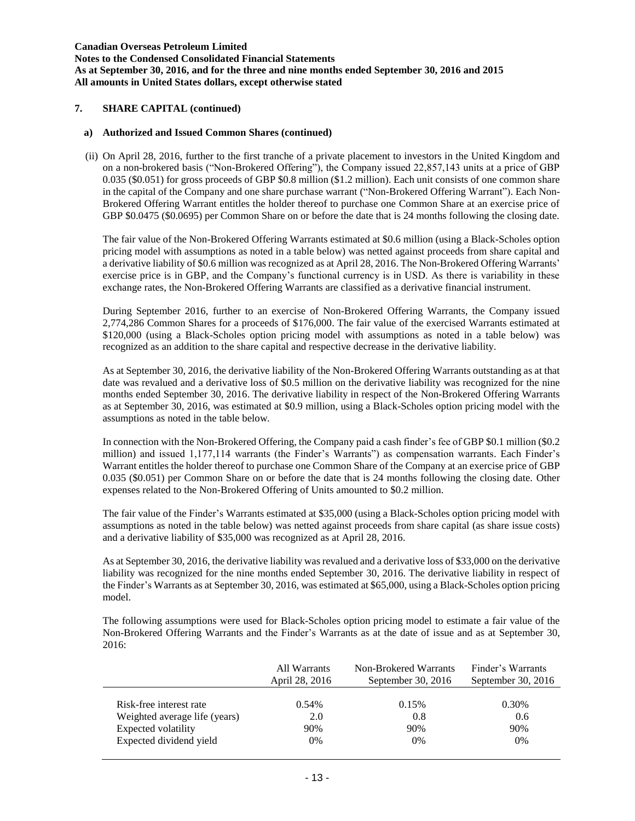**Notes to the Condensed Consolidated Financial Statements As at September 30, 2016, and for the three and nine months ended September 30, 2016 and 2015 All amounts in United States dollars, except otherwise stated**

## **7. SHARE CAPITAL (continued)**

### **a) Authorized and Issued Common Shares (continued)**

(ii) On April 28, 2016, further to the first tranche of a private placement to investors in the United Kingdom and on a non-brokered basis ("Non-Brokered Offering"), the Company issued 22,857,143 units at a price of GBP 0.035 (\$0.051) for gross proceeds of GBP \$0.8 million (\$1.2 million). Each unit consists of one common share in the capital of the Company and one share purchase warrant ("Non-Brokered Offering Warrant"). Each Non-Brokered Offering Warrant entitles the holder thereof to purchase one Common Share at an exercise price of GBP \$0.0475 (\$0.0695) per Common Share on or before the date that is 24 months following the closing date.

The fair value of the Non-Brokered Offering Warrants estimated at \$0.6 million (using a Black-Scholes option pricing model with assumptions as noted in a table below) was netted against proceeds from share capital and a derivative liability of \$0.6 million was recognized as at April 28, 2016. The Non-Brokered Offering Warrants' exercise price is in GBP, and the Company's functional currency is in USD. As there is variability in these exchange rates, the Non-Brokered Offering Warrants are classified as a derivative financial instrument.

During September 2016, further to an exercise of Non-Brokered Offering Warrants, the Company issued 2,774,286 Common Shares for a proceeds of \$176,000. The fair value of the exercised Warrants estimated at \$120,000 (using a Black-Scholes option pricing model with assumptions as noted in a table below) was recognized as an addition to the share capital and respective decrease in the derivative liability.

As at September 30, 2016, the derivative liability of the Non-Brokered Offering Warrants outstanding as at that date was revalued and a derivative loss of \$0.5 million on the derivative liability was recognized for the nine months ended September 30, 2016. The derivative liability in respect of the Non-Brokered Offering Warrants as at September 30, 2016, was estimated at \$0.9 million, using a Black-Scholes option pricing model with the assumptions as noted in the table below.

In connection with the Non-Brokered Offering, the Company paid a cash finder's fee of GBP \$0.1 million (\$0.2 million) and issued 1,177,114 warrants (the Finder's Warrants") as compensation warrants. Each Finder's Warrant entitles the holder thereof to purchase one Common Share of the Company at an exercise price of GBP 0.035 (\$0.051) per Common Share on or before the date that is 24 months following the closing date. Other expenses related to the Non-Brokered Offering of Units amounted to \$0.2 million.

The fair value of the Finder's Warrants estimated at \$35,000 (using a Black-Scholes option pricing model with assumptions as noted in the table below) was netted against proceeds from share capital (as share issue costs) and a derivative liability of \$35,000 was recognized as at April 28, 2016.

As at September 30, 2016, the derivative liability was revalued and a derivative loss of \$33,000 on the derivative liability was recognized for the nine months ended September 30, 2016. The derivative liability in respect of the Finder's Warrants as at September 30, 2016, was estimated at \$65,000, using a Black-Scholes option pricing model.

The following assumptions were used for Black-Scholes option pricing model to estimate a fair value of the Non-Brokered Offering Warrants and the Finder's Warrants as at the date of issue and as at September 30, 2016:

|                               | All Warrants<br>April 28, 2016 | Non-Brokered Warrants<br>September 30, $2016$ |       |
|-------------------------------|--------------------------------|-----------------------------------------------|-------|
| Risk-free interest rate       | 0.54%                          | 0.15%                                         | 0.30% |
| Weighted average life (years) | 2.0                            | 0.8                                           | 0.6   |
| Expected volatility           | 90%                            | 90%                                           | 90%   |
| Expected dividend yield       | 0%                             | 0%                                            | $0\%$ |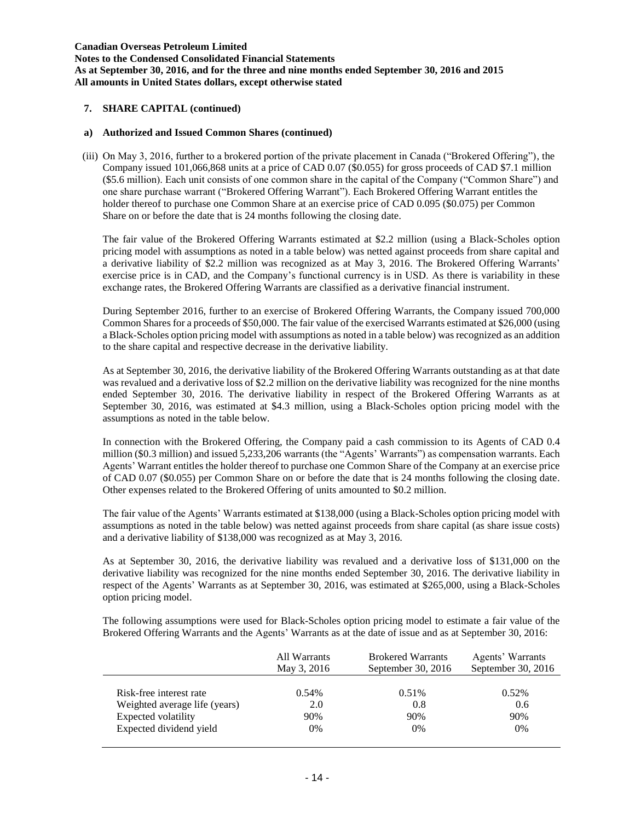**Notes to the Condensed Consolidated Financial Statements As at September 30, 2016, and for the three and nine months ended September 30, 2016 and 2015 All amounts in United States dollars, except otherwise stated**

## **7. SHARE CAPITAL (continued)**

### **a) Authorized and Issued Common Shares (continued)**

(iii) On May 3, 2016, further to a brokered portion of the private placement in Canada ("Brokered Offering"), the Company issued 101,066,868 units at a price of CAD 0.07 (\$0.055) for gross proceeds of CAD \$7.1 million (\$5.6 million). Each unit consists of one common share in the capital of the Company ("Common Share") and one share purchase warrant ("Brokered Offering Warrant"). Each Brokered Offering Warrant entitles the holder thereof to purchase one Common Share at an exercise price of CAD 0.095 (\$0.075) per Common Share on or before the date that is 24 months following the closing date.

The fair value of the Brokered Offering Warrants estimated at \$2.2 million (using a Black-Scholes option pricing model with assumptions as noted in a table below) was netted against proceeds from share capital and a derivative liability of \$2.2 million was recognized as at May 3, 2016. The Brokered Offering Warrants' exercise price is in CAD, and the Company's functional currency is in USD. As there is variability in these exchange rates, the Brokered Offering Warrants are classified as a derivative financial instrument.

During September 2016, further to an exercise of Brokered Offering Warrants, the Company issued 700,000 Common Shares for a proceeds of \$50,000. The fair value of the exercised Warrants estimated at \$26,000 (using a Black-Scholes option pricing model with assumptions as noted in a table below) was recognized as an addition to the share capital and respective decrease in the derivative liability.

As at September 30, 2016, the derivative liability of the Brokered Offering Warrants outstanding as at that date was revalued and a derivative loss of \$2.2 million on the derivative liability was recognized for the nine months ended September 30, 2016. The derivative liability in respect of the Brokered Offering Warrants as at September 30, 2016, was estimated at \$4.3 million, using a Black-Scholes option pricing model with the assumptions as noted in the table below.

In connection with the Brokered Offering, the Company paid a cash commission to its Agents of CAD 0.4 million (\$0.3 million) and issued 5,233,206 warrants (the "Agents' Warrants") as compensation warrants. Each Agents' Warrant entitles the holder thereof to purchase one Common Share of the Company at an exercise price of CAD 0.07 (\$0.055) per Common Share on or before the date that is 24 months following the closing date. Other expenses related to the Brokered Offering of units amounted to \$0.2 million.

The fair value of the Agents' Warrants estimated at \$138,000 (using a Black-Scholes option pricing model with assumptions as noted in the table below) was netted against proceeds from share capital (as share issue costs) and a derivative liability of \$138,000 was recognized as at May 3, 2016.

As at September 30, 2016, the derivative liability was revalued and a derivative loss of \$131,000 on the derivative liability was recognized for the nine months ended September 30, 2016. The derivative liability in respect of the Agents' Warrants as at September 30, 2016, was estimated at \$265,000, using a Black-Scholes option pricing model.

The following assumptions were used for Black-Scholes option pricing model to estimate a fair value of the Brokered Offering Warrants and the Agents' Warrants as at the date of issue and as at September 30, 2016:

|                               | All Warrants<br>May 3, 2016 | <b>Brokered Warrants</b><br>September 30, $2016$ | Agents' Warrants<br>September 30, 2016 |
|-------------------------------|-----------------------------|--------------------------------------------------|----------------------------------------|
| Risk-free interest rate       | 0.54%                       | $0.51\%$                                         | $0.52\%$                               |
| Weighted average life (years) | 2.0                         | 0.8                                              | $0.6^{\circ}$                          |
| Expected volatility           | 90%                         | 90%                                              | 90%                                    |
| Expected dividend yield       | 0%                          | 0%                                               | 0%                                     |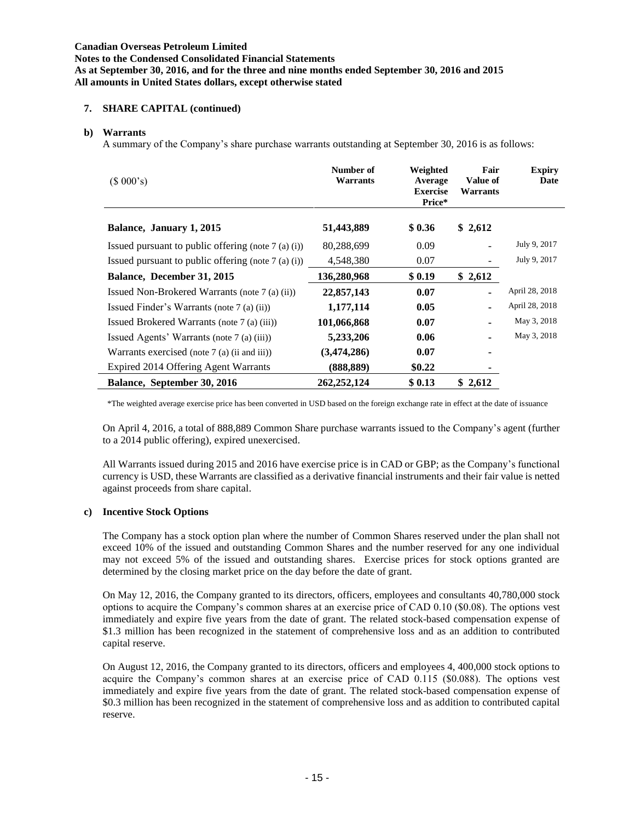**Notes to the Condensed Consolidated Financial Statements As at September 30, 2016, and for the three and nine months ended September 30, 2016 and 2015 All amounts in United States dollars, except otherwise stated**

# **7. SHARE CAPITAL (continued)**

## **b) Warrants**

A summary of the Company's share purchase warrants outstanding at September 30, 2016 is as follows:

| (\$000's)                                             | Number of<br><b>Warrants</b> | Weighted<br>Average<br><b>Exercise</b><br>Price* | Fair<br><b>Value of</b><br>Warrants | <b>Expiry</b><br>Date |
|-------------------------------------------------------|------------------------------|--------------------------------------------------|-------------------------------------|-----------------------|
| Balance, January 1, 2015                              | 51,443,889                   | \$0.36                                           | \$2,612                             |                       |
| Issued pursuant to public offering (note $7$ (a) (i)) | 80,288,699                   | 0.09                                             |                                     | July 9, 2017          |
| Issued pursuant to public offering (note $7$ (a) (i)) | 4,548,380                    | 0.07                                             |                                     | July 9, 2017          |
| Balance, December 31, 2015                            | 136,280,968                  | \$0.19                                           | \$2,612                             |                       |
| Issued Non-Brokered Warrants (note 7 (a) (ii))        | 22,857,143                   | 0.07                                             |                                     | April 28, 2018        |
| Issued Finder's Warrants (note 7 (a) (ii))            | 1,177,114                    | 0.05                                             |                                     | April 28, 2018        |
| Issued Brokered Warrants (note 7 (a) (iii))           | 101,066,868                  | 0.07                                             |                                     | May 3, 2018           |
| Issued Agents' Warrants (note 7 (a) (iii))            | 5,233,206                    | 0.06                                             |                                     | May 3, 2018           |
| Warrants exercised (note $7$ (a) (ii and iii))        | (3,474,286)                  | 0.07                                             | ٠                                   |                       |
| Expired 2014 Offering Agent Warrants                  | (888, 889)                   | \$0.22                                           |                                     |                       |
| Balance, September 30, 2016                           | 262, 252, 124                | \$0.13                                           | \$2,612                             |                       |

\*The weighted average exercise price has been converted in USD based on the foreign exchange rate in effect at the date of issuance

On April 4, 2016, a total of 888,889 Common Share purchase warrants issued to the Company's agent (further to a 2014 public offering), expired unexercised.

All Warrants issued during 2015 and 2016 have exercise price is in CAD or GBP; as the Company's functional currency is USD, these Warrants are classified as a derivative financial instruments and their fair value is netted against proceeds from share capital.

# **c) Incentive Stock Options**

The Company has a stock option plan where the number of Common Shares reserved under the plan shall not exceed 10% of the issued and outstanding Common Shares and the number reserved for any one individual may not exceed 5% of the issued and outstanding shares. Exercise prices for stock options granted are determined by the closing market price on the day before the date of grant.

On May 12, 2016, the Company granted to its directors, officers, employees and consultants 40,780,000 stock options to acquire the Company's common shares at an exercise price of CAD 0.10 (\$0.08). The options vest immediately and expire five years from the date of grant. The related stock-based compensation expense of \$1.3 million has been recognized in the statement of comprehensive loss and as an addition to contributed capital reserve.

On August 12, 2016, the Company granted to its directors, officers and employees 4, 400,000 stock options to acquire the Company's common shares at an exercise price of CAD 0.115 (\$0.088). The options vest immediately and expire five years from the date of grant. The related stock-based compensation expense of \$0.3 million has been recognized in the statement of comprehensive loss and as addition to contributed capital reserve.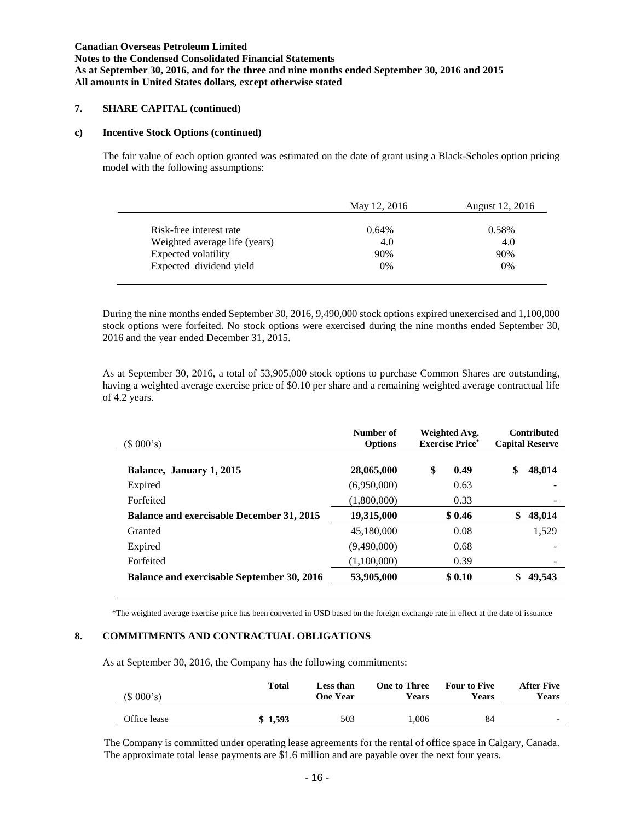**Notes to the Condensed Consolidated Financial Statements As at September 30, 2016, and for the three and nine months ended September 30, 2016 and 2015 All amounts in United States dollars, except otherwise stated**

# **7. SHARE CAPITAL (continued)**

#### **c) Incentive Stock Options (continued)**

The fair value of each option granted was estimated on the date of grant using a Black-Scholes option pricing model with the following assumptions:

|                               | May 12, 2016 | August 12, 2016 |
|-------------------------------|--------------|-----------------|
| Risk-free interest rate       | 0.64%        | 0.58%           |
| Weighted average life (years) | 4.0          | 4.0             |
| Expected volatility           | 90%          | 90%             |
| Expected dividend yield       | 0%           | 0%              |

During the nine months ended September 30, 2016, 9,490,000 stock options expired unexercised and 1,100,000 stock options were forfeited. No stock options were exercised during the nine months ended September 30, 2016 and the year ended December 31, 2015.

As at September 30, 2016, a total of 53,905,000 stock options to purchase Common Shares are outstanding, having a weighted average exercise price of \$0.10 per share and a remaining weighted average contractual life of 4.2 years.

| (\$000's)                                         | Number of<br><b>Options</b> | Weighted Avg.<br><b>Exercise Price*</b> | <b>Contributed</b><br><b>Capital Reserve</b> |  |
|---------------------------------------------------|-----------------------------|-----------------------------------------|----------------------------------------------|--|
| Balance, January 1, 2015                          | 28,065,000                  | \$<br>0.49                              | 48,014<br>\$                                 |  |
| Expired                                           | (6,950,000)                 | 0.63                                    |                                              |  |
| Forfeited                                         | (1,800,000)                 | 0.33                                    |                                              |  |
| <b>Balance and exercisable December 31, 2015</b>  | 19,315,000                  | \$0.46                                  | 48,014<br>\$                                 |  |
| Granted                                           | 45,180,000                  | 0.08                                    | 1,529                                        |  |
| Expired                                           | (9,490,000)                 | 0.68                                    |                                              |  |
| Forfeited                                         | (1,100,000)                 | 0.39                                    |                                              |  |
| <b>Balance and exercisable September 30, 2016</b> | 53,905,000                  | \$0.10                                  | 49,543                                       |  |

\*The weighted average exercise price has been converted in USD based on the foreign exchange rate in effect at the date of issuance

# **8. COMMITMENTS AND CONTRACTUAL OBLIGATIONS**

As at September 30, 2016, the Company has the following commitments:

| (\$000's)    | <b>Total</b> | Less than<br><b>One Year</b> | <b>One to Three</b><br>Years | <b>Four to Five</b><br>Years | <b>After Five</b><br>Years |
|--------------|--------------|------------------------------|------------------------------|------------------------------|----------------------------|
| Office lease | \$1.593      | 503                          | .006                         | 84                           | $\overline{\phantom{0}}$   |

The Company is committed under operating lease agreements for the rental of office space in Calgary, Canada. The approximate total lease payments are \$1.6 million and are payable over the next four years.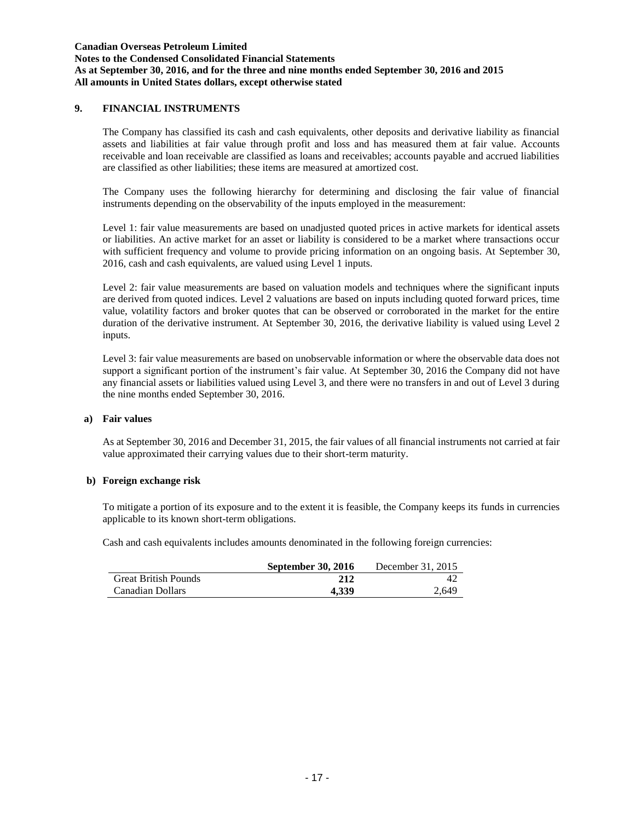#### **Canadian Overseas Petroleum Limited Notes to the Condensed Consolidated Financial Statements As at September 30, 2016, and for the three and nine months ended September 30, 2016 and 2015 All amounts in United States dollars, except otherwise stated**

# **9. FINANCIAL INSTRUMENTS**

The Company has classified its cash and cash equivalents, other deposits and derivative liability as financial assets and liabilities at fair value through profit and loss and has measured them at fair value. Accounts receivable and loan receivable are classified as loans and receivables; accounts payable and accrued liabilities are classified as other liabilities; these items are measured at amortized cost.

The Company uses the following hierarchy for determining and disclosing the fair value of financial instruments depending on the observability of the inputs employed in the measurement:

Level 1: fair value measurements are based on unadjusted quoted prices in active markets for identical assets or liabilities. An active market for an asset or liability is considered to be a market where transactions occur with sufficient frequency and volume to provide pricing information on an ongoing basis. At September 30, 2016, cash and cash equivalents, are valued using Level 1 inputs.

Level 2: fair value measurements are based on valuation models and techniques where the significant inputs are derived from quoted indices. Level 2 valuations are based on inputs including quoted forward prices, time value, volatility factors and broker quotes that can be observed or corroborated in the market for the entire duration of the derivative instrument. At September 30, 2016, the derivative liability is valued using Level 2 inputs.

Level 3: fair value measurements are based on unobservable information or where the observable data does not support a significant portion of the instrument's fair value. At September 30, 2016 the Company did not have any financial assets or liabilities valued using Level 3, and there were no transfers in and out of Level 3 during the nine months ended September 30, 2016.

#### **a) Fair values**

As at September 30, 2016 and December 31, 2015, the fair values of all financial instruments not carried at fair value approximated their carrying values due to their short-term maturity.

#### **b) Foreign exchange risk**

To mitigate a portion of its exposure and to the extent it is feasible, the Company keeps its funds in currencies applicable to its known short-term obligations.

Cash and cash equivalents includes amounts denominated in the following foreign currencies:

|                             | <b>September 30, 2016</b> | December 31, 2015 |
|-----------------------------|---------------------------|-------------------|
| <b>Great British Pounds</b> | 212                       | 47                |
| Canadian Dollars            | 4.339                     | 2.649             |